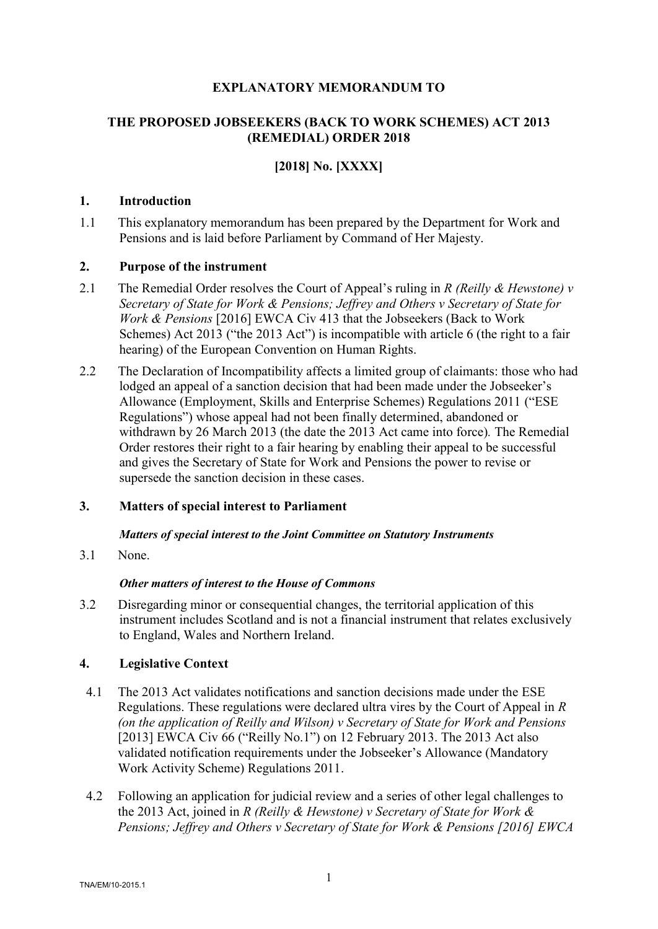## **EXPLANATORY MEMORANDUM TO**

## **THE PROPOSED JOBSEEKERS (BACK TO WORK SCHEMES) ACT 2013 (REMEDIAL) ORDER 2018**

# **[2018] No. [XXXX]**

## **1. Introduction**

1.1 This explanatory memorandum has been prepared by the Department for Work and Pensions and is laid before Parliament by Command of Her Majesty.

## **2. Purpose of the instrument**

- 2.1 The Remedial Order resolves the Court of Appeal's ruling in *R (Reilly & Hewstone) v Secretary of State for Work & Pensions; Jeffrey and Others v Secretary of State for Work & Pensions* [2016] EWCA Civ 413 that the Jobseekers (Back to Work Schemes) Act 2013 ("the 2013 Act") is incompatible with article 6 (the right to a fair hearing) of the European Convention on Human Rights.
- 2.2 The Declaration of Incompatibility affects a limited group of claimants: those who had lodged an appeal of a sanction decision that had been made under the Jobseeker's Allowance (Employment, Skills and Enterprise Schemes) Regulations 2011 ("ESE Regulations") whose appeal had not been finally determined, abandoned or withdrawn by 26 March 2013 (the date the 2013 Act came into force)*.* The Remedial Order restores their right to a fair hearing by enabling their appeal to be successful and gives the Secretary of State for Work and Pensions the power to revise or supersede the sanction decision in these cases.

## **3. Matters of special interest to Parliament**

#### *Matters of special interest to the Joint Committee on Statutory Instruments*

3.1 None.

#### *Other matters of interest to the House of Commons*

3.2 Disregarding minor or consequential changes, the territorial application of this instrument includes Scotland and is not a financial instrument that relates exclusively to England, Wales and Northern Ireland.

## **4. Legislative Context**

- 4.1 The 2013 Act validates notifications and sanction decisions made under the ESE Regulations. These regulations were declared ultra vires by the Court of Appeal in *R (on the application of Reilly and Wilson) v Secretary of State for Work and Pensions*  [2013] EWCA Civ 66 ("Reilly No.1") on 12 February 2013. The 2013 Act also validated notification requirements under the Jobseeker's Allowance (Mandatory Work Activity Scheme) Regulations 2011.
- 4.2 Following an application for judicial review and a series of other legal challenges to the 2013 Act, joined in *R (Reilly & Hewstone) v Secretary of State for Work & Pensions; Jeffrey and Others v Secretary of State for Work & Pensions [2016] EWCA*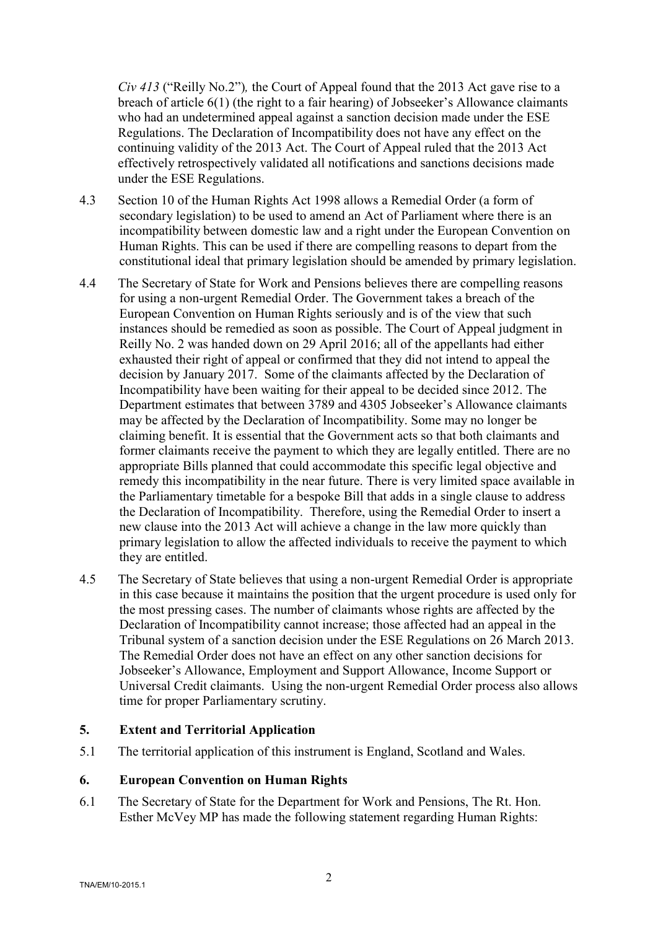*Civ 413* ("Reilly No.2")*,* the Court of Appeal found that the 2013 Act gave rise to a breach of article 6(1) (the right to a fair hearing) of Jobseeker's Allowance claimants who had an undetermined appeal against a sanction decision made under the ESE Regulations. The Declaration of Incompatibility does not have any effect on the continuing validity of the 2013 Act. The Court of Appeal ruled that the 2013 Act effectively retrospectively validated all notifications and sanctions decisions made under the ESE Regulations.

- 4.3 Section 10 of the Human Rights Act 1998 allows a Remedial Order (a form of secondary legislation) to be used to amend an Act of Parliament where there is an incompatibility between domestic law and a right under the European Convention on Human Rights. This can be used if there are compelling reasons to depart from the constitutional ideal that primary legislation should be amended by primary legislation.
- 4.4 The Secretary of State for Work and Pensions believes there are compelling reasons for using a non-urgent Remedial Order. The Government takes a breach of the European Convention on Human Rights seriously and is of the view that such instances should be remedied as soon as possible. The Court of Appeal judgment in Reilly No. 2 was handed down on 29 April 2016; all of the appellants had either exhausted their right of appeal or confirmed that they did not intend to appeal the decision by January 2017. Some of the claimants affected by the Declaration of Incompatibility have been waiting for their appeal to be decided since 2012. The Department estimates that between 3789 and 4305 Jobseeker's Allowance claimants may be affected by the Declaration of Incompatibility. Some may no longer be claiming benefit. It is essential that the Government acts so that both claimants and former claimants receive the payment to which they are legally entitled. There are no appropriate Bills planned that could accommodate this specific legal objective and remedy this incompatibility in the near future. There is very limited space available in the Parliamentary timetable for a bespoke Bill that adds in a single clause to address the Declaration of Incompatibility. Therefore, using the Remedial Order to insert a new clause into the 2013 Act will achieve a change in the law more quickly than primary legislation to allow the affected individuals to receive the payment to which they are entitled.
- 4.5 The Secretary of State believes that using a non-urgent Remedial Order is appropriate in this case because it maintains the position that the urgent procedure is used only for the most pressing cases. The number of claimants whose rights are affected by the Declaration of Incompatibility cannot increase; those affected had an appeal in the Tribunal system of a sanction decision under the ESE Regulations on 26 March 2013. The Remedial Order does not have an effect on any other sanction decisions for Jobseeker's Allowance, Employment and Support Allowance, Income Support or Universal Credit claimants. Using the non-urgent Remedial Order process also allows time for proper Parliamentary scrutiny.

#### **5. Extent and Territorial Application**

5.1 The territorial application of this instrument is England, Scotland and Wales.

#### **6. European Convention on Human Rights**

6.1 The Secretary of State for the Department for Work and Pensions, The Rt. Hon. Esther McVey MP has made the following statement regarding Human Rights: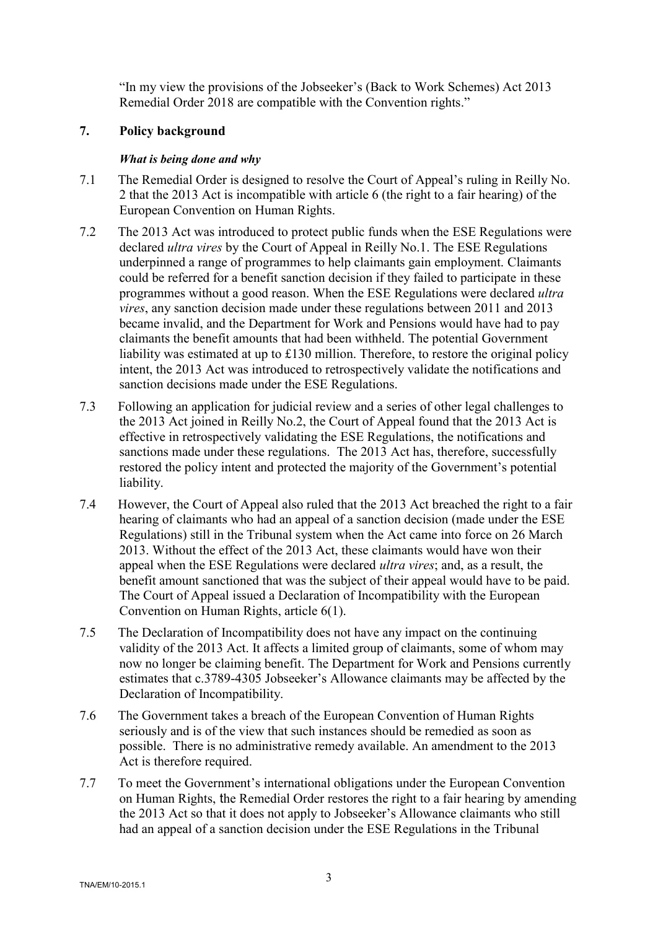"In my view the provisions of the Jobseeker's (Back to Work Schemes) Act 2013 Remedial Order 2018 are compatible with the Convention rights."

### **7. Policy background**

## *What is being done and why*

- 7.1 The Remedial Order is designed to resolve the Court of Appeal's ruling in Reilly No. 2 that the 2013 Act is incompatible with article 6 (the right to a fair hearing) of the European Convention on Human Rights.
- 7.2 The 2013 Act was introduced to protect public funds when the ESE Regulations were declared *ultra vires* by the Court of Appeal in Reilly No.1. The ESE Regulations underpinned a range of programmes to help claimants gain employment. Claimants could be referred for a benefit sanction decision if they failed to participate in these programmes without a good reason. When the ESE Regulations were declared *ultra vires*, any sanction decision made under these regulations between 2011 and 2013 became invalid, and the Department for Work and Pensions would have had to pay claimants the benefit amounts that had been withheld. The potential Government liability was estimated at up to £130 million. Therefore, to restore the original policy intent, the 2013 Act was introduced to retrospectively validate the notifications and sanction decisions made under the ESE Regulations.
- 7.3 Following an application for judicial review and a series of other legal challenges to the 2013 Act joined in Reilly No.2, the Court of Appeal found that the 2013 Act is effective in retrospectively validating the ESE Regulations, the notifications and sanctions made under these regulations. The 2013 Act has, therefore, successfully restored the policy intent and protected the majority of the Government's potential liability.
- 7.4 However, the Court of Appeal also ruled that the 2013 Act breached the right to a fair hearing of claimants who had an appeal of a sanction decision (made under the ESE Regulations) still in the Tribunal system when the Act came into force on 26 March 2013. Without the effect of the 2013 Act, these claimants would have won their appeal when the ESE Regulations were declared *ultra vires*; and, as a result, the benefit amount sanctioned that was the subject of their appeal would have to be paid. The Court of Appeal issued a Declaration of Incompatibility with the European Convention on Human Rights, article 6(1).
- 7.5 The Declaration of Incompatibility does not have any impact on the continuing validity of the 2013 Act. It affects a limited group of claimants, some of whom may now no longer be claiming benefit. The Department for Work and Pensions currently estimates that c.3789-4305 Jobseeker's Allowance claimants may be affected by the Declaration of Incompatibility.
- 7.6 The Government takes a breach of the European Convention of Human Rights seriously and is of the view that such instances should be remedied as soon as possible. There is no administrative remedy available. An amendment to the 2013 Act is therefore required.
- 7.7 To meet the Government's international obligations under the European Convention on Human Rights, the Remedial Order restores the right to a fair hearing by amending the 2013 Act so that it does not apply to Jobseeker's Allowance claimants who still had an appeal of a sanction decision under the ESE Regulations in the Tribunal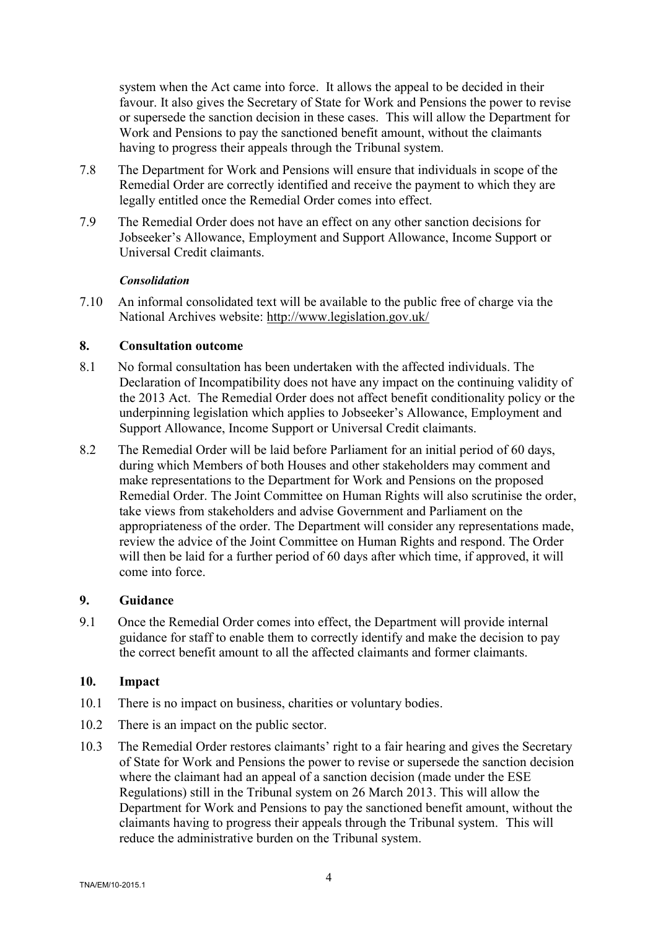system when the Act came into force. It allows the appeal to be decided in their favour. It also gives the Secretary of State for Work and Pensions the power to revise or supersede the sanction decision in these cases. This will allow the Department for Work and Pensions to pay the sanctioned benefit amount, without the claimants having to progress their appeals through the Tribunal system.

- 7.8 The Department for Work and Pensions will ensure that individuals in scope of the Remedial Order are correctly identified and receive the payment to which they are legally entitled once the Remedial Order comes into effect.
- 7.9 The Remedial Order does not have an effect on any other sanction decisions for Jobseeker's Allowance, Employment and Support Allowance, Income Support or Universal Credit claimants.

#### *Consolidation*

7.10 An informal consolidated text will be available to the public free of charge via the National Archives website:<http://www.legislation.gov.uk/>

#### **8. Consultation outcome**

- 8.1 No formal consultation has been undertaken with the affected individuals. The Declaration of Incompatibility does not have any impact on the continuing validity of the 2013 Act. The Remedial Order does not affect benefit conditionality policy or the underpinning legislation which applies to Jobseeker's Allowance, Employment and Support Allowance, Income Support or Universal Credit claimants.
- 8.2 The Remedial Order will be laid before Parliament for an initial period of 60 days, during which Members of both Houses and other stakeholders may comment and make representations to the Department for Work and Pensions on the proposed Remedial Order. The Joint Committee on Human Rights will also scrutinise the order, take views from stakeholders and advise Government and Parliament on the appropriateness of the order. The Department will consider any representations made, review the advice of the Joint Committee on Human Rights and respond. The Order will then be laid for a further period of 60 days after which time, if approved, it will come into force.

## **9. Guidance**

9.1 Once the Remedial Order comes into effect, the Department will provide internal guidance for staff to enable them to correctly identify and make the decision to pay the correct benefit amount to all the affected claimants and former claimants.

#### **10. Impact**

- 10.1 There is no impact on business, charities or voluntary bodies.
- 10.2 There is an impact on the public sector.
- 10.3 The Remedial Order restores claimants' right to a fair hearing and gives the Secretary of State for Work and Pensions the power to revise or supersede the sanction decision where the claimant had an appeal of a sanction decision (made under the ESE Regulations) still in the Tribunal system on 26 March 2013. This will allow the Department for Work and Pensions to pay the sanctioned benefit amount, without the claimants having to progress their appeals through the Tribunal system. This will reduce the administrative burden on the Tribunal system.